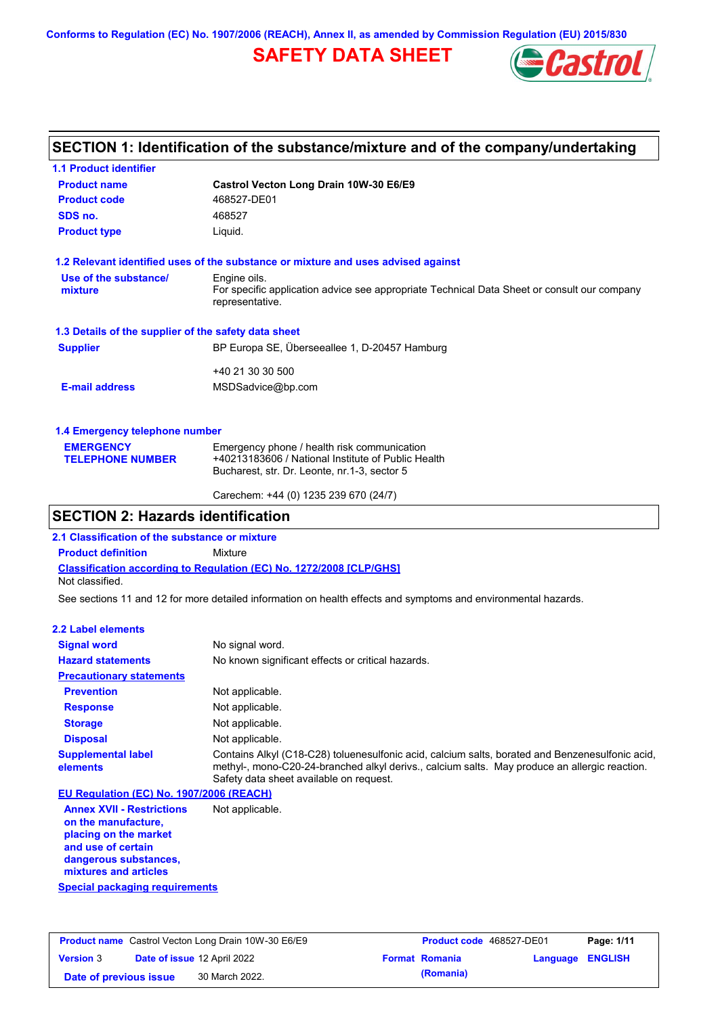**Conforms to Regulation (EC) No. 1907/2006 (REACH), Annex II, as amended by Commission Regulation (EU) 2015/830**

# **SAFETY DATA SHEET**



### **SECTION 1: Identification of the substance/mixture and of the company/undertaking**

| <b>1.1 Product identifier</b>                        |                                                                                                                |
|------------------------------------------------------|----------------------------------------------------------------------------------------------------------------|
| <b>Product name</b>                                  | Castrol Vecton Long Drain 10W-30 E6/E9                                                                         |
| <b>Product code</b>                                  | 468527-DE01                                                                                                    |
| SDS no.                                              | 468527                                                                                                         |
| <b>Product type</b>                                  | Liquid.                                                                                                        |
|                                                      | 1.2 Relevant identified uses of the substance or mixture and uses advised against                              |
| Use of the substance/                                | Engine oils.                                                                                                   |
| mixture                                              | For specific application advice see appropriate Technical Data Sheet or consult our company<br>representative. |
| 1.3 Details of the supplier of the safety data sheet |                                                                                                                |
| <b>Supplier</b>                                      | BP Europa SE, Überseeallee 1, D-20457 Hamburg                                                                  |
|                                                      | +40 21 30 30 500                                                                                               |
| <b>E-mail address</b>                                | MSDSadvice@bp.com                                                                                              |
| 1.4 Emergency telephone number                       |                                                                                                                |
| <b>EMERGENCY</b>                                     | Emergency phone / health risk communication                                                                    |
| <b>TELEPHONE NUMBER</b>                              | +40213183606 / National Institute of Public Health                                                             |
|                                                      | Bucharest, str. Dr. Leonte, nr.1-3, sector 5                                                                   |

Carechem: +44 (0) 1235 239 670 (24/7)

### **SECTION 2: Hazards identification**

**2.1 Classification of the substance or mixture**

**Product definition** Mixture

**Classification according to Regulation (EC) No. 1272/2008 [CLP/GHS]** Not classified.

See sections 11 and 12 for more detailed information on health effects and symptoms and environmental hazards.

#### **2.2 Label elements**

| <b>Signal word</b>                       | No signal word.                                                                                                                                                                                                                             |
|------------------------------------------|---------------------------------------------------------------------------------------------------------------------------------------------------------------------------------------------------------------------------------------------|
| <b>Hazard statements</b>                 | No known significant effects or critical hazards.                                                                                                                                                                                           |
| <b>Precautionary statements</b>          |                                                                                                                                                                                                                                             |
| <b>Prevention</b>                        | Not applicable.                                                                                                                                                                                                                             |
| <b>Response</b>                          | Not applicable.                                                                                                                                                                                                                             |
| <b>Storage</b>                           | Not applicable.                                                                                                                                                                                                                             |
| <b>Disposal</b>                          | Not applicable.                                                                                                                                                                                                                             |
| <b>Supplemental label</b><br>elements    | Contains Alkyl (C18-C28) toluenesulfonic acid, calcium salts, borated and Benzenesulfonic acid,<br>methyl-, mono-C20-24-branched alkyl derivs., calcium salts. May produce an allergic reaction.<br>Safety data sheet available on request. |
| EU Regulation (EC) No. 1907/2006 (REACH) |                                                                                                                                                                                                                                             |

**Annex XVII - Restrictions on the manufacture, placing on the market and use of certain dangerous substances, mixtures and articles** Not applicable.

**Special packaging requirements**

| <b>Product name</b> Castrol Vecton Long Drain 10W-30 E6/E9 |  | <b>Product code</b> 468527-DE01    |  | Page: 1/11            |                         |  |
|------------------------------------------------------------|--|------------------------------------|--|-----------------------|-------------------------|--|
| <b>Version 3</b>                                           |  | <b>Date of issue 12 April 2022</b> |  | <b>Format Romania</b> | <b>Language ENGLISH</b> |  |
| Date of previous issue                                     |  | 30 March 2022.                     |  | (Romania)             |                         |  |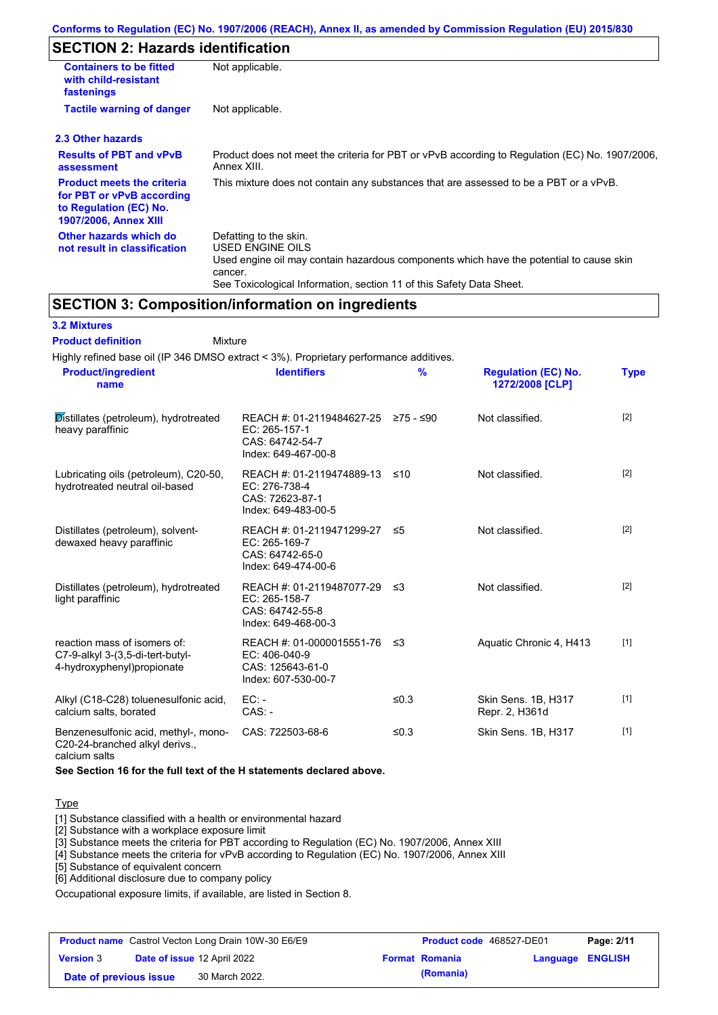## **SECTION 2: Hazards identification**

| <b>Containers to be fitted</b><br>with child-resistant<br>fastenings                                                     | Not applicable.                                                                                                                                                                                                          |  |
|--------------------------------------------------------------------------------------------------------------------------|--------------------------------------------------------------------------------------------------------------------------------------------------------------------------------------------------------------------------|--|
| <b>Tactile warning of danger</b><br>Not applicable.                                                                      |                                                                                                                                                                                                                          |  |
| 2.3 Other hazards                                                                                                        |                                                                                                                                                                                                                          |  |
| <b>Results of PBT and vPvB</b><br>assessment                                                                             | Product does not meet the criteria for PBT or vPvB according to Regulation (EC) No. 1907/2006,<br>Annex XIII.                                                                                                            |  |
| <b>Product meets the criteria</b><br>for PBT or vPvB according<br>to Regulation (EC) No.<br><b>1907/2006, Annex XIII</b> | This mixture does not contain any substances that are assessed to be a PBT or a vPvB.                                                                                                                                    |  |
| Other hazards which do<br>not result in classification                                                                   | Defatting to the skin.<br>USED ENGINE OILS<br>Used engine oil may contain hazardous components which have the potential to cause skin<br>cancer.<br>See Toxicological Information, section 11 of this Safety Data Sheet. |  |

### **SECTION 3: Composition/information on ingredients**

| <b>3.2 Mixtures</b> |  |
|---------------------|--|
|---------------------|--|

Mixture **Product definition**

| <b>Product/ingredient</b><br>name                                                              | <b>Identifiers</b>                                                                             | %       | <b>Regulation (EC) No.</b><br>1272/2008 [CLP] | <b>Type</b> |
|------------------------------------------------------------------------------------------------|------------------------------------------------------------------------------------------------|---------|-----------------------------------------------|-------------|
| Distillates (petroleum), hydrotreated<br>heavy paraffinic                                      | REACH #: 01-2119484627-25 ≥75 - ≤90<br>EC: 265-157-1<br>CAS: 64742-54-7<br>Index: 649-467-00-8 |         | Not classified.                               | $[2]$       |
| Lubricating oils (petroleum), C20-50,<br>hydrotreated neutral oil-based                        | REACH #: 01-2119474889-13<br>EC: 276-738-4<br>CAS: 72623-87-1<br>Index: 649-483-00-5           | ≤10     | Not classified.                               | $[2]$       |
| Distillates (petroleum), solvent-<br>dewaxed heavy paraffinic                                  | REACH #: 01-2119471299-27<br>EC: 265-169-7<br>CAS: 64742-65-0<br>Index: 649-474-00-6           | ≤5      | Not classified.                               | [2]         |
| Distillates (petroleum), hydrotreated<br>light paraffinic                                      | REACH #: 01-2119487077-29 ≤3<br>EC: 265-158-7<br>CAS: 64742-55-8<br>Index: 649-468-00-3        |         | Not classified.                               | $[2]$       |
| reaction mass of isomers of:<br>C7-9-alkyl 3-(3,5-di-tert-butyl-<br>4-hydroxyphenyl)propionate | REACH #: 01-0000015551-76 ≤3<br>$EC: 406-040-9$<br>CAS: 125643-61-0<br>Index: 607-530-00-7     |         | Aquatic Chronic 4, H413                       | $[1]$       |
| Alkyl (C18-C28) toluenesulfonic acid,<br>calcium salts, borated                                | $EC: -$<br>$CAS. -$                                                                            | ≤0.3    | Skin Sens. 1B, H317<br>Repr. 2, H361d         | $[1]$       |
| Benzenesulfonic acid, methyl-, mono-<br>C20-24-branched alkyl derivs.,<br>calcium salts        | CAS: 722503-68-6                                                                               | ≤ $0.3$ | Skin Sens. 1B, H317                           | $[1]$       |

**See Section 16 for the full text of the H statements declared above.**

#### **Type**

[1] Substance classified with a health or environmental hazard

[2] Substance with a workplace exposure limit

[3] Substance meets the criteria for PBT according to Regulation (EC) No. 1907/2006, Annex XIII

[4] Substance meets the criteria for vPvB according to Regulation (EC) No. 1907/2006, Annex XIII

[5] Substance of equivalent concern

[6] Additional disclosure due to company policy

Occupational exposure limits, if available, are listed in Section 8.

| <b>Product name</b> Castrol Vecton Long Drain 10W-30 E6/E9 |  | <b>Product code</b> 468527-DE01    |  | Page: 2/11            |                         |  |
|------------------------------------------------------------|--|------------------------------------|--|-----------------------|-------------------------|--|
| <b>Version 3</b>                                           |  | <b>Date of issue 12 April 2022</b> |  | <b>Format Romania</b> | <b>Language ENGLISH</b> |  |
| Date of previous issue                                     |  | 30 March 2022.                     |  | (Romania)             |                         |  |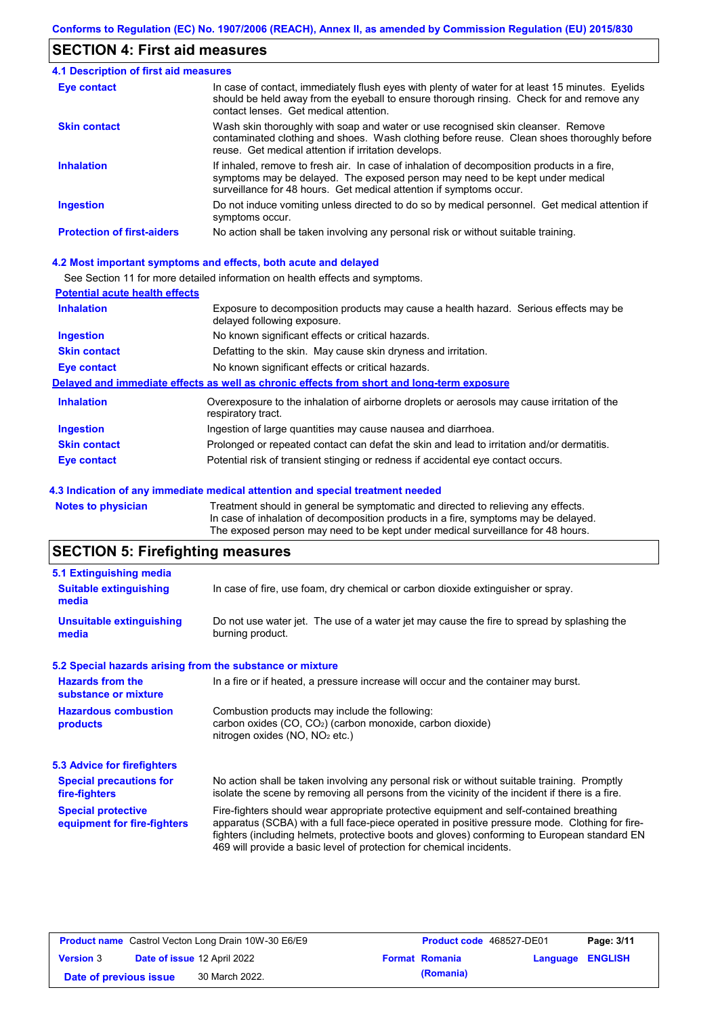### **SECTION 4: First aid measures**

| <b>4.1 Description of first aid measures</b> |                                                                                                                                                                                                                                                     |
|----------------------------------------------|-----------------------------------------------------------------------------------------------------------------------------------------------------------------------------------------------------------------------------------------------------|
| Eye contact                                  | In case of contact, immediately flush eyes with plenty of water for at least 15 minutes. Eyelids<br>should be held away from the eyeball to ensure thorough rinsing. Check for and remove any<br>contact lenses. Get medical attention.             |
| <b>Skin contact</b>                          | Wash skin thoroughly with soap and water or use recognised skin cleanser. Remove<br>contaminated clothing and shoes. Wash clothing before reuse. Clean shoes thoroughly before<br>reuse. Get medical attention if irritation develops.              |
| <b>Inhalation</b>                            | If inhaled, remove to fresh air. In case of inhalation of decomposition products in a fire,<br>symptoms may be delayed. The exposed person may need to be kept under medical<br>surveillance for 48 hours. Get medical attention if symptoms occur. |
| <b>Ingestion</b>                             | Do not induce vomiting unless directed to do so by medical personnel. Get medical attention if<br>symptoms occur.                                                                                                                                   |
| <b>Protection of first-aiders</b>            | No action shall be taken involving any personal risk or without suitable training.                                                                                                                                                                  |

#### **4.2 Most important symptoms and effects, both acute and delayed**

See Section 11 for more detailed information on health effects and symptoms.

| <b>Potential acute health effects</b> |                                                                                                                     |
|---------------------------------------|---------------------------------------------------------------------------------------------------------------------|
| <b>Inhalation</b>                     | Exposure to decomposition products may cause a health hazard. Serious effects may be<br>delayed following exposure. |
| <b>Ingestion</b>                      | No known significant effects or critical hazards.                                                                   |
| <b>Skin contact</b>                   | Defatting to the skin. May cause skin dryness and irritation.                                                       |
| <b>Eye contact</b>                    | No known significant effects or critical hazards.                                                                   |
|                                       | Delayed and immediate effects as well as chronic effects from short and long-term exposure                          |
| <b>Inhalation</b>                     | Overexposure to the inhalation of airborne droplets or aerosols may cause irritation of the<br>respiratory tract.   |
| <b>Ingestion</b>                      | Ingestion of large quantities may cause nausea and diarrhoea.                                                       |
| <b>Skin contact</b>                   | Prolonged or repeated contact can defat the skin and lead to irritation and/or dermatitis.                          |
| Eye contact                           | Potential risk of transient stinging or redness if accidental eye contact occurs.                                   |
|                                       |                                                                                                                     |

#### **4.3 Indication of any immediate medical attention and special treatment needed**

**Notes to physician** Treatment should in general be symptomatic and directed to relieving any effects. In case of inhalation of decomposition products in a fire, symptoms may be delayed. The exposed person may need to be kept under medical surveillance for 48 hours.

# **SECTION 5: Firefighting measures**

| 5.1 Extinguishing media                                   |                                                                                                                                                                                                                                                                                                                                                                   |
|-----------------------------------------------------------|-------------------------------------------------------------------------------------------------------------------------------------------------------------------------------------------------------------------------------------------------------------------------------------------------------------------------------------------------------------------|
| <b>Suitable extinguishing</b><br>media                    | In case of fire, use foam, dry chemical or carbon dioxide extinguisher or spray.                                                                                                                                                                                                                                                                                  |
| <b>Unsuitable extinguishing</b><br>media                  | Do not use water jet. The use of a water jet may cause the fire to spread by splashing the<br>burning product.                                                                                                                                                                                                                                                    |
| 5.2 Special hazards arising from the substance or mixture |                                                                                                                                                                                                                                                                                                                                                                   |
| <b>Hazards from the</b><br>substance or mixture           | In a fire or if heated, a pressure increase will occur and the container may burst.                                                                                                                                                                                                                                                                               |
| <b>Hazardous combustion</b><br>products                   | Combustion products may include the following:<br>carbon oxides $(CO, CO2)$ (carbon monoxide, carbon dioxide)<br>nitrogen oxides ( $NO$ , $NO2$ etc.)                                                                                                                                                                                                             |
| 5.3 Advice for firefighters                               |                                                                                                                                                                                                                                                                                                                                                                   |
| <b>Special precautions for</b><br>fire-fighters           | No action shall be taken involving any personal risk or without suitable training. Promptly<br>isolate the scene by removing all persons from the vicinity of the incident if there is a fire.                                                                                                                                                                    |
| <b>Special protective</b><br>equipment for fire-fighters  | Fire-fighters should wear appropriate protective equipment and self-contained breathing<br>apparatus (SCBA) with a full face-piece operated in positive pressure mode. Clothing for fire-<br>fighters (including helmets, protective boots and gloves) conforming to European standard EN<br>469 will provide a basic level of protection for chemical incidents. |

| <b>Product name</b> Castrol Vecton Long Drain 10W-30 E6/E9 |  | <b>Product code</b> 468527-DE01 |  | Page: 3/11            |                         |  |
|------------------------------------------------------------|--|---------------------------------|--|-----------------------|-------------------------|--|
| <b>Version 3</b>                                           |  | Date of issue 12 April 2022     |  | <b>Format Romania</b> | <b>Language ENGLISH</b> |  |
| Date of previous issue                                     |  | 30 March 2022.                  |  | (Romania)             |                         |  |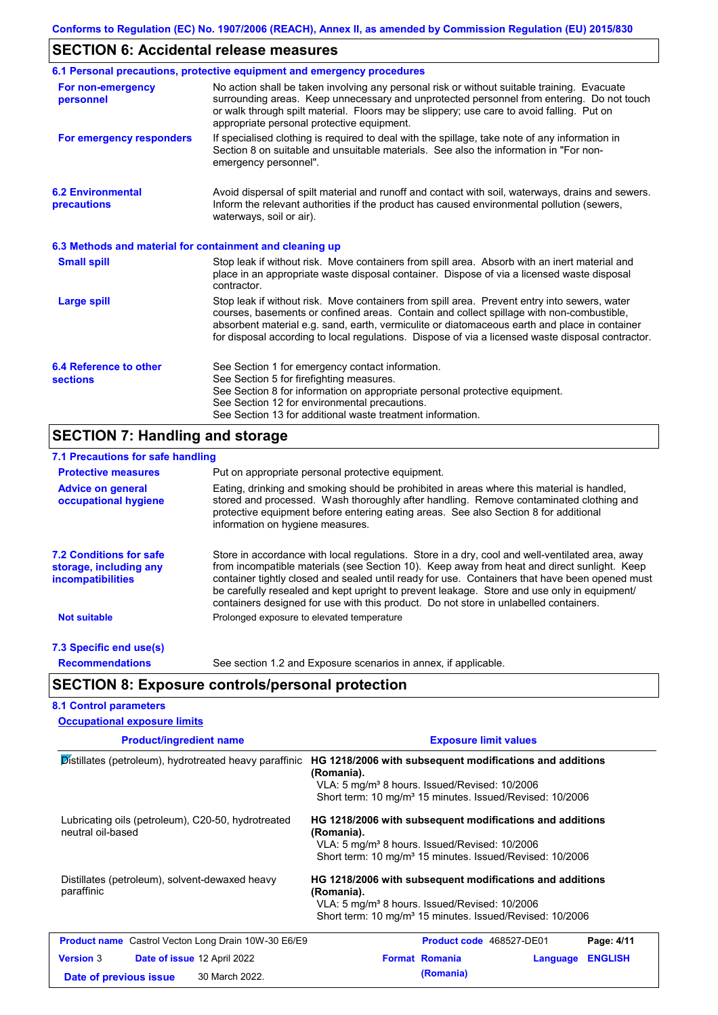# **SECTION 6: Accidental release measures**

|                                                          | 6.1 Personal precautions, protective equipment and emergency procedures                                                                                                                                                                                                                                                                                                                        |
|----------------------------------------------------------|------------------------------------------------------------------------------------------------------------------------------------------------------------------------------------------------------------------------------------------------------------------------------------------------------------------------------------------------------------------------------------------------|
| For non-emergency<br>personnel                           | No action shall be taken involving any personal risk or without suitable training. Evacuate<br>surrounding areas. Keep unnecessary and unprotected personnel from entering. Do not touch<br>or walk through spilt material. Floors may be slippery; use care to avoid falling. Put on<br>appropriate personal protective equipment.                                                            |
| For emergency responders                                 | If specialised clothing is required to deal with the spillage, take note of any information in<br>Section 8 on suitable and unsuitable materials. See also the information in "For non-<br>emergency personnel".                                                                                                                                                                               |
| <b>6.2 Environmental</b><br>precautions                  | Avoid dispersal of spilt material and runoff and contact with soil, waterways, drains and sewers.<br>Inform the relevant authorities if the product has caused environmental pollution (sewers,<br>waterways, soil or air).                                                                                                                                                                    |
| 6.3 Methods and material for containment and cleaning up |                                                                                                                                                                                                                                                                                                                                                                                                |
| <b>Small spill</b>                                       | Stop leak if without risk. Move containers from spill area. Absorb with an inert material and<br>place in an appropriate waste disposal container. Dispose of via a licensed waste disposal<br>contractor.                                                                                                                                                                                     |
| <b>Large spill</b>                                       | Stop leak if without risk. Move containers from spill area. Prevent entry into sewers, water<br>courses, basements or confined areas. Contain and collect spillage with non-combustible,<br>absorbent material e.g. sand, earth, vermiculite or diatomaceous earth and place in container<br>for disposal according to local regulations. Dispose of via a licensed waste disposal contractor. |
| 6.4 Reference to other<br><b>sections</b>                | See Section 1 for emergency contact information.<br>See Section 5 for firefighting measures.<br>See Section 8 for information on appropriate personal protective equipment.<br>See Section 12 for environmental precautions.<br>See Section 13 for additional waste treatment information.                                                                                                     |

# **SECTION 7: Handling and storage**

| 7.1 Precautions for safe handling                                                    |                                                                                                                                                                                                                                                                                                                                                                                                                                                                                          |  |  |  |  |
|--------------------------------------------------------------------------------------|------------------------------------------------------------------------------------------------------------------------------------------------------------------------------------------------------------------------------------------------------------------------------------------------------------------------------------------------------------------------------------------------------------------------------------------------------------------------------------------|--|--|--|--|
| <b>Protective measures</b>                                                           | Put on appropriate personal protective equipment.                                                                                                                                                                                                                                                                                                                                                                                                                                        |  |  |  |  |
| <b>Advice on general</b><br>occupational hygiene                                     | Eating, drinking and smoking should be prohibited in areas where this material is handled,<br>stored and processed. Wash thoroughly after handling. Remove contaminated clothing and<br>protective equipment before entering eating areas. See also Section 8 for additional<br>information on hygiene measures.                                                                                                                                                                         |  |  |  |  |
| <b>7.2 Conditions for safe</b><br>storage, including any<br><i>incompatibilities</i> | Store in accordance with local regulations. Store in a dry, cool and well-ventilated area, away<br>from incompatible materials (see Section 10). Keep away from heat and direct sunlight. Keep<br>container tightly closed and sealed until ready for use. Containers that have been opened must<br>be carefully resealed and kept upright to prevent leakage. Store and use only in equipment/<br>containers designed for use with this product. Do not store in unlabelled containers. |  |  |  |  |
| <b>Not suitable</b>                                                                  | Prolonged exposure to elevated temperature                                                                                                                                                                                                                                                                                                                                                                                                                                               |  |  |  |  |
| 7.3 Specific end use(s)                                                              |                                                                                                                                                                                                                                                                                                                                                                                                                                                                                          |  |  |  |  |
| <b>Recommendations</b>                                                               | See section 1.2 and Exposure scenarios in annex, if applicable.                                                                                                                                                                                                                                                                                                                                                                                                                          |  |  |  |  |
|                                                                                      | <b>SECTION 8: Exposure controls/personal protection</b>                                                                                                                                                                                                                                                                                                                                                                                                                                  |  |  |  |  |
| <b>8.1 Control parameters</b>                                                        |                                                                                                                                                                                                                                                                                                                                                                                                                                                                                          |  |  |  |  |
| <b>Occupational exposure limits</b>                                                  |                                                                                                                                                                                                                                                                                                                                                                                                                                                                                          |  |  |  |  |
| <b>Product/ingredient name</b>                                                       | <b>Exposure limit values</b>                                                                                                                                                                                                                                                                                                                                                                                                                                                             |  |  |  |  |
|                                                                                      | Distillates (petroleum), hydrotreated heavy paraffinic HG 1218/2006 with subsequent modifications and additions<br>(Romania).<br>VLA: 5 mg/m <sup>3</sup> 8 hours. Issued/Revised: 10/2006                                                                                                                                                                                                                                                                                               |  |  |  |  |

|                                                                         |                | Short term: 10 mg/m <sup>3</sup> 15 minutes. Issued/Revised: 10/2006                                                                                                                                        |                          |          |                |  |
|-------------------------------------------------------------------------|----------------|-------------------------------------------------------------------------------------------------------------------------------------------------------------------------------------------------------------|--------------------------|----------|----------------|--|
| Lubricating oils (petroleum), C20-50, hydrotreated<br>neutral oil-based |                | HG 1218/2006 with subsequent modifications and additions<br>(Romania).<br>VLA: 5 mg/m <sup>3</sup> 8 hours. Issued/Revised: 10/2006<br>Short term: 10 mg/m <sup>3</sup> 15 minutes. Issued/Revised: 10/2006 |                          |          |                |  |
| Distillates (petroleum), solvent-dewaxed heavy<br>paraffinic            |                | HG 1218/2006 with subsequent modifications and additions<br>(Romania).<br>VLA: 5 mg/m <sup>3</sup> 8 hours. Issued/Revised: 10/2006<br>Short term: 10 mg/m <sup>3</sup> 15 minutes. Issued/Revised: 10/2006 |                          |          |                |  |
| <b>Product name</b> Castrol Vecton Long Drain 10W-30 E6/E9              |                |                                                                                                                                                                                                             | Product code 468527-DE01 |          | Page: 4/11     |  |
| <b>Version 3</b><br>Date of issue 12 April 2022                         |                |                                                                                                                                                                                                             | <b>Format Romania</b>    | Language | <b>ENGLISH</b> |  |
| Date of previous issue                                                  | 30 March 2022. |                                                                                                                                                                                                             | (Romania)                |          |                |  |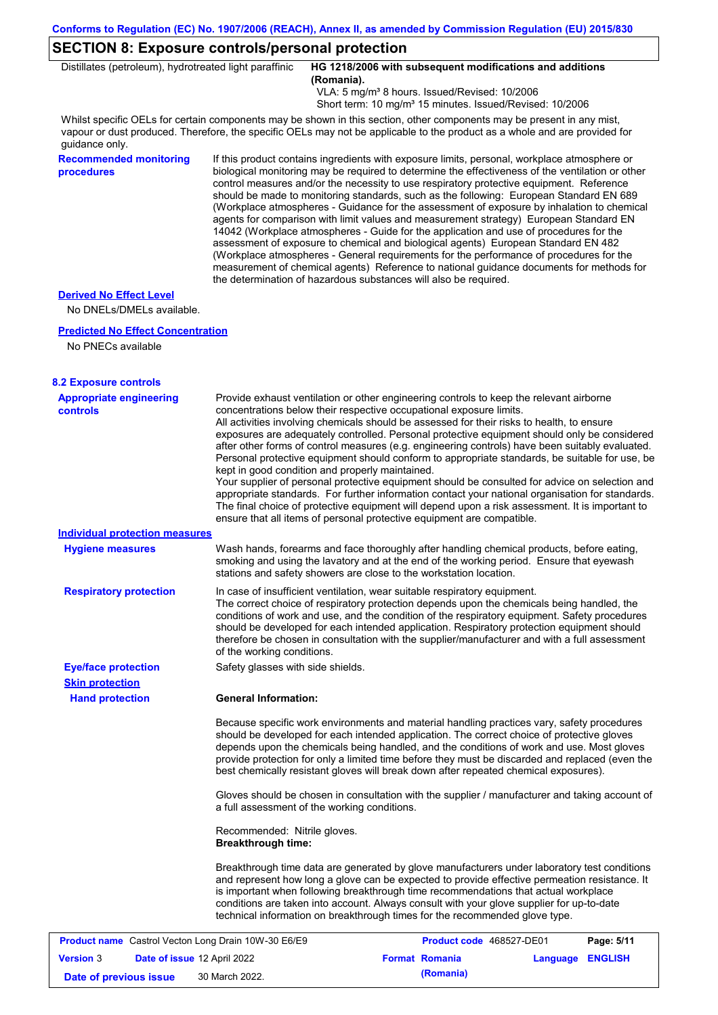# **SECTION 8: Exposure controls/personal protection**

| Distillates (petroleum), hydrotreated light paraffinic      |                                                                                                                                                                                                                                                                                                                                                                                                                                                                                                                                                                                                                                                                                                                                                                                                                                                                                                                                                                                                                            | HG 1218/2006 with subsequent modifications and additions<br>(Romania).<br>VLA: 5 mg/m <sup>3</sup> 8 hours. Issued/Revised: 10/2006<br>Short term: 10 mg/m <sup>3</sup> 15 minutes. Issued/Revised: 10/2006                                                                                                                                                                                                                                                                                                                                                                                                                                                                                                                                                                                                                                                                                                                                                                                             |  |  |  |  |
|-------------------------------------------------------------|----------------------------------------------------------------------------------------------------------------------------------------------------------------------------------------------------------------------------------------------------------------------------------------------------------------------------------------------------------------------------------------------------------------------------------------------------------------------------------------------------------------------------------------------------------------------------------------------------------------------------------------------------------------------------------------------------------------------------------------------------------------------------------------------------------------------------------------------------------------------------------------------------------------------------------------------------------------------------------------------------------------------------|---------------------------------------------------------------------------------------------------------------------------------------------------------------------------------------------------------------------------------------------------------------------------------------------------------------------------------------------------------------------------------------------------------------------------------------------------------------------------------------------------------------------------------------------------------------------------------------------------------------------------------------------------------------------------------------------------------------------------------------------------------------------------------------------------------------------------------------------------------------------------------------------------------------------------------------------------------------------------------------------------------|--|--|--|--|
| quidance only.                                              |                                                                                                                                                                                                                                                                                                                                                                                                                                                                                                                                                                                                                                                                                                                                                                                                                                                                                                                                                                                                                            | Whilst specific OELs for certain components may be shown in this section, other components may be present in any mist,<br>vapour or dust produced. Therefore, the specific OELs may not be applicable to the product as a whole and are provided for                                                                                                                                                                                                                                                                                                                                                                                                                                                                                                                                                                                                                                                                                                                                                    |  |  |  |  |
| <b>Recommended monitoring</b><br>procedures                 | If this product contains ingredients with exposure limits, personal, workplace atmosphere or<br>biological monitoring may be required to determine the effectiveness of the ventilation or other<br>control measures and/or the necessity to use respiratory protective equipment. Reference<br>should be made to monitoring standards, such as the following: European Standard EN 689<br>(Workplace atmospheres - Guidance for the assessment of exposure by inhalation to chemical<br>agents for comparison with limit values and measurement strategy) European Standard EN<br>14042 (Workplace atmospheres - Guide for the application and use of procedures for the<br>assessment of exposure to chemical and biological agents) European Standard EN 482<br>(Workplace atmospheres - General requirements for the performance of procedures for the<br>measurement of chemical agents) Reference to national guidance documents for methods for<br>the determination of hazardous substances will also be required. |                                                                                                                                                                                                                                                                                                                                                                                                                                                                                                                                                                                                                                                                                                                                                                                                                                                                                                                                                                                                         |  |  |  |  |
| <b>Derived No Effect Level</b><br>No DNELs/DMELs available. |                                                                                                                                                                                                                                                                                                                                                                                                                                                                                                                                                                                                                                                                                                                                                                                                                                                                                                                                                                                                                            |                                                                                                                                                                                                                                                                                                                                                                                                                                                                                                                                                                                                                                                                                                                                                                                                                                                                                                                                                                                                         |  |  |  |  |
| <b>Predicted No Effect Concentration</b>                    |                                                                                                                                                                                                                                                                                                                                                                                                                                                                                                                                                                                                                                                                                                                                                                                                                                                                                                                                                                                                                            |                                                                                                                                                                                                                                                                                                                                                                                                                                                                                                                                                                                                                                                                                                                                                                                                                                                                                                                                                                                                         |  |  |  |  |
| No PNECs available                                          |                                                                                                                                                                                                                                                                                                                                                                                                                                                                                                                                                                                                                                                                                                                                                                                                                                                                                                                                                                                                                            |                                                                                                                                                                                                                                                                                                                                                                                                                                                                                                                                                                                                                                                                                                                                                                                                                                                                                                                                                                                                         |  |  |  |  |
| <b>8.2 Exposure controls</b>                                |                                                                                                                                                                                                                                                                                                                                                                                                                                                                                                                                                                                                                                                                                                                                                                                                                                                                                                                                                                                                                            |                                                                                                                                                                                                                                                                                                                                                                                                                                                                                                                                                                                                                                                                                                                                                                                                                                                                                                                                                                                                         |  |  |  |  |
| <b>Appropriate engineering</b><br><b>controls</b>           |                                                                                                                                                                                                                                                                                                                                                                                                                                                                                                                                                                                                                                                                                                                                                                                                                                                                                                                                                                                                                            | Provide exhaust ventilation or other engineering controls to keep the relevant airborne<br>concentrations below their respective occupational exposure limits.<br>All activities involving chemicals should be assessed for their risks to health, to ensure<br>exposures are adequately controlled. Personal protective equipment should only be considered<br>after other forms of control measures (e.g. engineering controls) have been suitably evaluated.<br>Personal protective equipment should conform to appropriate standards, be suitable for use, be<br>kept in good condition and properly maintained.<br>Your supplier of personal protective equipment should be consulted for advice on selection and<br>appropriate standards. For further information contact your national organisation for standards.<br>The final choice of protective equipment will depend upon a risk assessment. It is important to<br>ensure that all items of personal protective equipment are compatible. |  |  |  |  |
| Individual protection measures                              |                                                                                                                                                                                                                                                                                                                                                                                                                                                                                                                                                                                                                                                                                                                                                                                                                                                                                                                                                                                                                            |                                                                                                                                                                                                                                                                                                                                                                                                                                                                                                                                                                                                                                                                                                                                                                                                                                                                                                                                                                                                         |  |  |  |  |
| <b>Hygiene measures</b>                                     |                                                                                                                                                                                                                                                                                                                                                                                                                                                                                                                                                                                                                                                                                                                                                                                                                                                                                                                                                                                                                            | Wash hands, forearms and face thoroughly after handling chemical products, before eating,<br>smoking and using the lavatory and at the end of the working period. Ensure that eyewash<br>stations and safety showers are close to the workstation location.                                                                                                                                                                                                                                                                                                                                                                                                                                                                                                                                                                                                                                                                                                                                             |  |  |  |  |
| <b>Respiratory protection</b>                               | of the working conditions.                                                                                                                                                                                                                                                                                                                                                                                                                                                                                                                                                                                                                                                                                                                                                                                                                                                                                                                                                                                                 | In case of insufficient ventilation, wear suitable respiratory equipment.<br>The correct choice of respiratory protection depends upon the chemicals being handled, the<br>conditions of work and use, and the condition of the respiratory equipment. Safety procedures<br>should be developed for each intended application. Respiratory protection equipment should<br>therefore be chosen in consultation with the supplier/manufacturer and with a full assessment                                                                                                                                                                                                                                                                                                                                                                                                                                                                                                                                 |  |  |  |  |
| <b>Eye/face protection</b>                                  | Safety glasses with side shields.                                                                                                                                                                                                                                                                                                                                                                                                                                                                                                                                                                                                                                                                                                                                                                                                                                                                                                                                                                                          |                                                                                                                                                                                                                                                                                                                                                                                                                                                                                                                                                                                                                                                                                                                                                                                                                                                                                                                                                                                                         |  |  |  |  |
| <b>Skin protection</b>                                      |                                                                                                                                                                                                                                                                                                                                                                                                                                                                                                                                                                                                                                                                                                                                                                                                                                                                                                                                                                                                                            |                                                                                                                                                                                                                                                                                                                                                                                                                                                                                                                                                                                                                                                                                                                                                                                                                                                                                                                                                                                                         |  |  |  |  |
| <b>Hand protection</b>                                      | <b>General Information:</b>                                                                                                                                                                                                                                                                                                                                                                                                                                                                                                                                                                                                                                                                                                                                                                                                                                                                                                                                                                                                |                                                                                                                                                                                                                                                                                                                                                                                                                                                                                                                                                                                                                                                                                                                                                                                                                                                                                                                                                                                                         |  |  |  |  |
|                                                             |                                                                                                                                                                                                                                                                                                                                                                                                                                                                                                                                                                                                                                                                                                                                                                                                                                                                                                                                                                                                                            | Because specific work environments and material handling practices vary, safety procedures<br>should be developed for each intended application. The correct choice of protective gloves<br>depends upon the chemicals being handled, and the conditions of work and use. Most gloves<br>provide protection for only a limited time before they must be discarded and replaced (even the<br>best chemically resistant gloves will break down after repeated chemical exposures).                                                                                                                                                                                                                                                                                                                                                                                                                                                                                                                        |  |  |  |  |
|                                                             |                                                                                                                                                                                                                                                                                                                                                                                                                                                                                                                                                                                                                                                                                                                                                                                                                                                                                                                                                                                                                            | Gloves should be chosen in consultation with the supplier / manufacturer and taking account of<br>a full assessment of the working conditions.                                                                                                                                                                                                                                                                                                                                                                                                                                                                                                                                                                                                                                                                                                                                                                                                                                                          |  |  |  |  |
|                                                             | Recommended: Nitrile gloves.<br><b>Breakthrough time:</b>                                                                                                                                                                                                                                                                                                                                                                                                                                                                                                                                                                                                                                                                                                                                                                                                                                                                                                                                                                  |                                                                                                                                                                                                                                                                                                                                                                                                                                                                                                                                                                                                                                                                                                                                                                                                                                                                                                                                                                                                         |  |  |  |  |
|                                                             |                                                                                                                                                                                                                                                                                                                                                                                                                                                                                                                                                                                                                                                                                                                                                                                                                                                                                                                                                                                                                            | Breakthrough time data are generated by glove manufacturers under laboratory test conditions<br>and represent how long a glove can be expected to provide effective permeation resistance. It<br>is important when following breakthrough time recommendations that actual workplace<br>conditions are taken into account. Always consult with your glove supplier for up-to-date<br>technical information on breakthrough times for the recommended glove type.                                                                                                                                                                                                                                                                                                                                                                                                                                                                                                                                        |  |  |  |  |
| Product name Castrol Vecton Long Drain 10W-30 E6/E9         |                                                                                                                                                                                                                                                                                                                                                                                                                                                                                                                                                                                                                                                                                                                                                                                                                                                                                                                                                                                                                            | Product code 468527-DE01<br>Page: 5/11                                                                                                                                                                                                                                                                                                                                                                                                                                                                                                                                                                                                                                                                                                                                                                                                                                                                                                                                                                  |  |  |  |  |
| Version 3<br>Date of issue 12 April 2022                    |                                                                                                                                                                                                                                                                                                                                                                                                                                                                                                                                                                                                                                                                                                                                                                                                                                                                                                                                                                                                                            | <b>Format Romania</b><br>Language ENGLISH                                                                                                                                                                                                                                                                                                                                                                                                                                                                                                                                                                                                                                                                                                                                                                                                                                                                                                                                                               |  |  |  |  |

**Date of previous issue 30 March 2022. (Romania) (Romania)**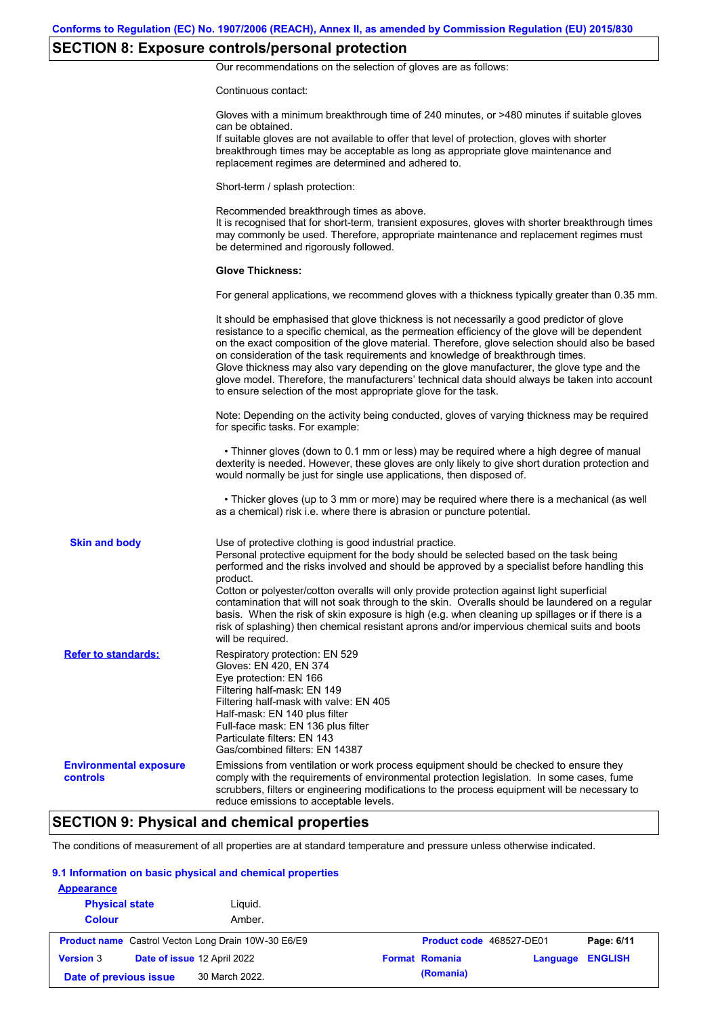# **SECTION 8: Exposure controls/personal protection**

Our recommendations on the selection of gloves are as follows:

Continuous contact:

|                                           | Gloves with a minimum breakthrough time of 240 minutes, or >480 minutes if suitable gloves<br>can be obtained.<br>If suitable gloves are not available to offer that level of protection, gloves with shorter<br>breakthrough times may be acceptable as long as appropriate glove maintenance and<br>replacement regimes are determined and adhered to.                                                                                                                                                                                                                                                                                                                              |
|-------------------------------------------|---------------------------------------------------------------------------------------------------------------------------------------------------------------------------------------------------------------------------------------------------------------------------------------------------------------------------------------------------------------------------------------------------------------------------------------------------------------------------------------------------------------------------------------------------------------------------------------------------------------------------------------------------------------------------------------|
|                                           | Short-term / splash protection:                                                                                                                                                                                                                                                                                                                                                                                                                                                                                                                                                                                                                                                       |
|                                           | Recommended breakthrough times as above.<br>It is recognised that for short-term, transient exposures, gloves with shorter breakthrough times<br>may commonly be used. Therefore, appropriate maintenance and replacement regimes must<br>be determined and rigorously followed.                                                                                                                                                                                                                                                                                                                                                                                                      |
|                                           | <b>Glove Thickness:</b>                                                                                                                                                                                                                                                                                                                                                                                                                                                                                                                                                                                                                                                               |
|                                           | For general applications, we recommend gloves with a thickness typically greater than 0.35 mm.                                                                                                                                                                                                                                                                                                                                                                                                                                                                                                                                                                                        |
|                                           | It should be emphasised that glove thickness is not necessarily a good predictor of glove<br>resistance to a specific chemical, as the permeation efficiency of the glove will be dependent<br>on the exact composition of the glove material. Therefore, glove selection should also be based<br>on consideration of the task requirements and knowledge of breakthrough times.<br>Glove thickness may also vary depending on the glove manufacturer, the glove type and the<br>glove model. Therefore, the manufacturers' technical data should always be taken into account<br>to ensure selection of the most appropriate glove for the task.                                     |
|                                           | Note: Depending on the activity being conducted, gloves of varying thickness may be required<br>for specific tasks. For example:                                                                                                                                                                                                                                                                                                                                                                                                                                                                                                                                                      |
|                                           | • Thinner gloves (down to 0.1 mm or less) may be required where a high degree of manual<br>dexterity is needed. However, these gloves are only likely to give short duration protection and<br>would normally be just for single use applications, then disposed of.                                                                                                                                                                                                                                                                                                                                                                                                                  |
|                                           | • Thicker gloves (up to 3 mm or more) may be required where there is a mechanical (as well<br>as a chemical) risk i.e. where there is abrasion or puncture potential.                                                                                                                                                                                                                                                                                                                                                                                                                                                                                                                 |
| <b>Skin and body</b>                      | Use of protective clothing is good industrial practice.<br>Personal protective equipment for the body should be selected based on the task being<br>performed and the risks involved and should be approved by a specialist before handling this<br>product.<br>Cotton or polyester/cotton overalls will only provide protection against light superficial<br>contamination that will not soak through to the skin. Overalls should be laundered on a regular<br>basis. When the risk of skin exposure is high (e.g. when cleaning up spillages or if there is a<br>risk of splashing) then chemical resistant aprons and/or impervious chemical suits and boots<br>will be required. |
| <b>Refer to standards:</b>                | Respiratory protection: EN 529<br>Gloves: EN 420, EN 374<br>Eye protection: EN 166<br>Filtering half-mask: EN 149<br>Filtering half-mask with valve: EN 405<br>Half-mask: EN 140 plus filter<br>Full-face mask: EN 136 plus filter<br>Particulate filters: EN 143<br>Gas/combined filters: EN 14387                                                                                                                                                                                                                                                                                                                                                                                   |
| <b>Environmental exposure</b><br>controls | Emissions from ventilation or work process equipment should be checked to ensure they<br>comply with the requirements of environmental protection legislation. In some cases, fume<br>scrubbers, filters or engineering modifications to the process equipment will be necessary to<br>reduce emissions to acceptable levels.                                                                                                                                                                                                                                                                                                                                                         |

### **SECTION 9: Physical and chemical properties**

The conditions of measurement of all properties are at standard temperature and pressure unless otherwise indicated.

#### **9.1 Information on basic physical and chemical properties**

| <b>Appearance</b>      |                                                            |                          |          |                |
|------------------------|------------------------------------------------------------|--------------------------|----------|----------------|
| <b>Physical state</b>  | Liguid.                                                    |                          |          |                |
| <b>Colour</b>          | Amber.                                                     |                          |          |                |
|                        | <b>Product name</b> Castrol Vecton Long Drain 10W-30 E6/E9 | Product code 468527-DE01 |          | Page: 6/11     |
| <b>Version 3</b>       | Date of issue 12 April 2022                                | <b>Format Romania</b>    | Language | <b>ENGLISH</b> |
| Date of previous issue | 30 March 2022.                                             | (Romania)                |          |                |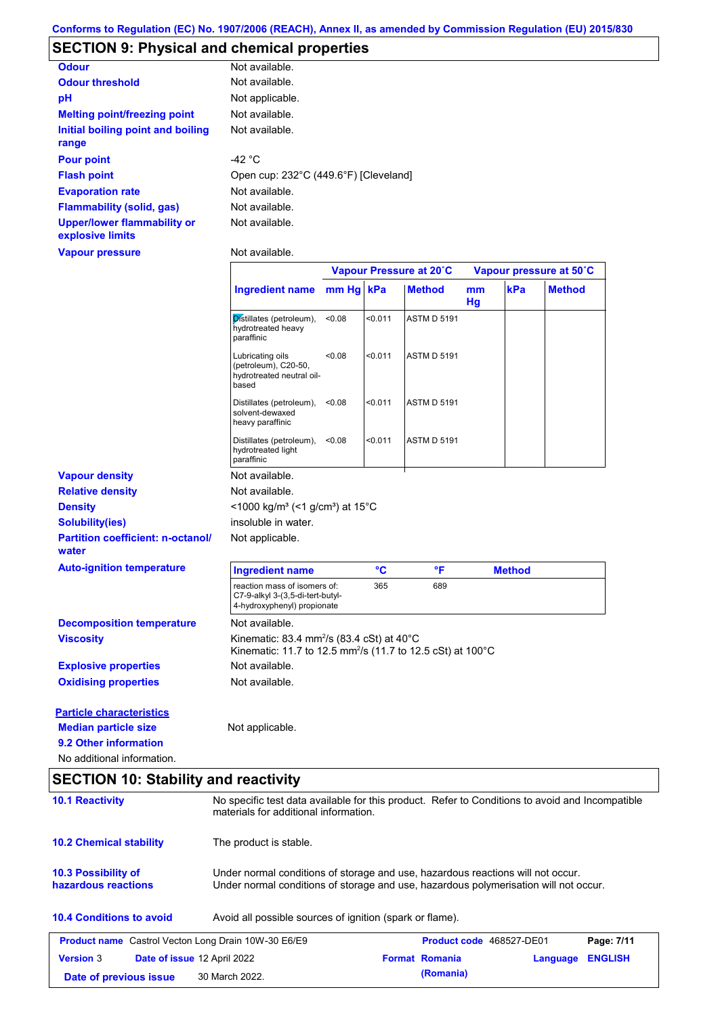| <b>Odour</b>                                           | Not available.                                                                                                                            |        |         |                         |          |               |                         |
|--------------------------------------------------------|-------------------------------------------------------------------------------------------------------------------------------------------|--------|---------|-------------------------|----------|---------------|-------------------------|
| <b>Odour threshold</b>                                 | Not available.                                                                                                                            |        |         |                         |          |               |                         |
| pH                                                     | Not applicable.                                                                                                                           |        |         |                         |          |               |                         |
| <b>Melting point/freezing point</b>                    | Not available.                                                                                                                            |        |         |                         |          |               |                         |
| <b>Initial boiling point and boiling</b><br>range      | Not available.                                                                                                                            |        |         |                         |          |               |                         |
| <b>Pour point</b>                                      | $-42 °C$                                                                                                                                  |        |         |                         |          |               |                         |
| <b>Flash point</b>                                     | Open cup: 232°C (449.6°F) [Cleveland]                                                                                                     |        |         |                         |          |               |                         |
| <b>Evaporation rate</b>                                | Not available.                                                                                                                            |        |         |                         |          |               |                         |
| <b>Flammability (solid, gas)</b>                       | Not available.                                                                                                                            |        |         |                         |          |               |                         |
| <b>Upper/lower flammability or</b><br>explosive limits | Not available.                                                                                                                            |        |         |                         |          |               |                         |
| <b>Vapour pressure</b>                                 | Not available.                                                                                                                            |        |         |                         |          |               |                         |
|                                                        |                                                                                                                                           |        |         | Vapour Pressure at 20°C |          |               | Vapour pressure at 50°C |
|                                                        | <b>Ingredient name</b>                                                                                                                    | mm Hg  | kPa     | <b>Method</b>           | mm<br>Hg | kPa           | <b>Method</b>           |
|                                                        | Distillates (petroleum),<br>hydrotreated heavy<br>paraffinic                                                                              | < 0.08 | < 0.011 | <b>ASTM D 5191</b>      |          |               |                         |
|                                                        | Lubricating oils<br>(petroleum), C20-50,<br>hydrotreated neutral oil-<br>based                                                            | < 0.08 | < 0.011 | <b>ASTM D 5191</b>      |          |               |                         |
|                                                        | Distillates (petroleum),<br>solvent-dewaxed<br>heavy paraffinic                                                                           | < 0.08 | < 0.011 | <b>ASTM D 5191</b>      |          |               |                         |
|                                                        | Distillates (petroleum),<br>hydrotreated light<br>paraffinic                                                                              | < 0.08 | < 0.011 | <b>ASTM D 5191</b>      |          |               |                         |
| <b>Vapour density</b>                                  | Not available.                                                                                                                            |        |         |                         |          |               |                         |
| <b>Relative density</b>                                | Not available.                                                                                                                            |        |         |                         |          |               |                         |
| <b>Density</b>                                         | <1000 kg/m <sup>3</sup> (<1 g/cm <sup>3</sup> ) at 15°C                                                                                   |        |         |                         |          |               |                         |
| <b>Solubility(ies)</b>                                 | insoluble in water.                                                                                                                       |        |         |                         |          |               |                         |
| <b>Partition coefficient: n-octanol/</b><br>water      | Not applicable.                                                                                                                           |        |         |                         |          |               |                         |
| <b>Auto-ignition temperature</b>                       | <b>Ingredient name</b>                                                                                                                    |        | °C      | °F                      |          | <b>Method</b> |                         |
|                                                        | reaction mass of isomers of:<br>C7-9-alkyl 3-(3,5-di-tert-butyl-<br>4-hydroxyphenyl) propionate                                           |        | 365     | 689                     |          |               |                         |
| <b>Decomposition temperature</b>                       | Not available.                                                                                                                            |        |         |                         |          |               |                         |
| <b>Viscosity</b>                                       | Kinematic: 83.4 mm <sup>2</sup> /s (83.4 cSt) at $40^{\circ}$ C<br>Kinematic: 11.7 to 12.5 mm <sup>2</sup> /s (11.7 to 12.5 cSt) at 100°C |        |         |                         |          |               |                         |
| <b>Explosive properties</b>                            | Not available.                                                                                                                            |        |         |                         |          |               |                         |
| <b>Oxidising properties</b>                            | Not available.                                                                                                                            |        |         |                         |          |               |                         |

**9.2 Other information** No additional information. **Median particle size** Not applicable.

### **SECTION 10: Stability and reactivity**

| <b>10.1 Reactivity</b>                                     |                                                          | No specific test data available for this product. Refer to Conditions to avoid and Incompatible<br>materials for additional information.                                |                                 |          |                |  |
|------------------------------------------------------------|----------------------------------------------------------|-------------------------------------------------------------------------------------------------------------------------------------------------------------------------|---------------------------------|----------|----------------|--|
| <b>10.2 Chemical stability</b>                             | The product is stable.                                   |                                                                                                                                                                         |                                 |          |                |  |
| <b>10.3 Possibility of</b><br>hazardous reactions          |                                                          | Under normal conditions of storage and use, hazardous reactions will not occur.<br>Under normal conditions of storage and use, hazardous polymerisation will not occur. |                                 |          |                |  |
| <b>10.4 Conditions to avoid</b>                            | Avoid all possible sources of ignition (spark or flame). |                                                                                                                                                                         |                                 |          |                |  |
| <b>Product name</b> Castrol Vecton Long Drain 10W-30 E6/E9 |                                                          |                                                                                                                                                                         | <b>Product code</b> 468527-DE01 |          | Page: 7/11     |  |
| <b>Version 3</b>                                           | Date of issue 12 April 2022                              |                                                                                                                                                                         | <b>Format Romania</b>           | Language | <b>ENGLISH</b> |  |
|                                                            |                                                          |                                                                                                                                                                         | (Romania)                       |          |                |  |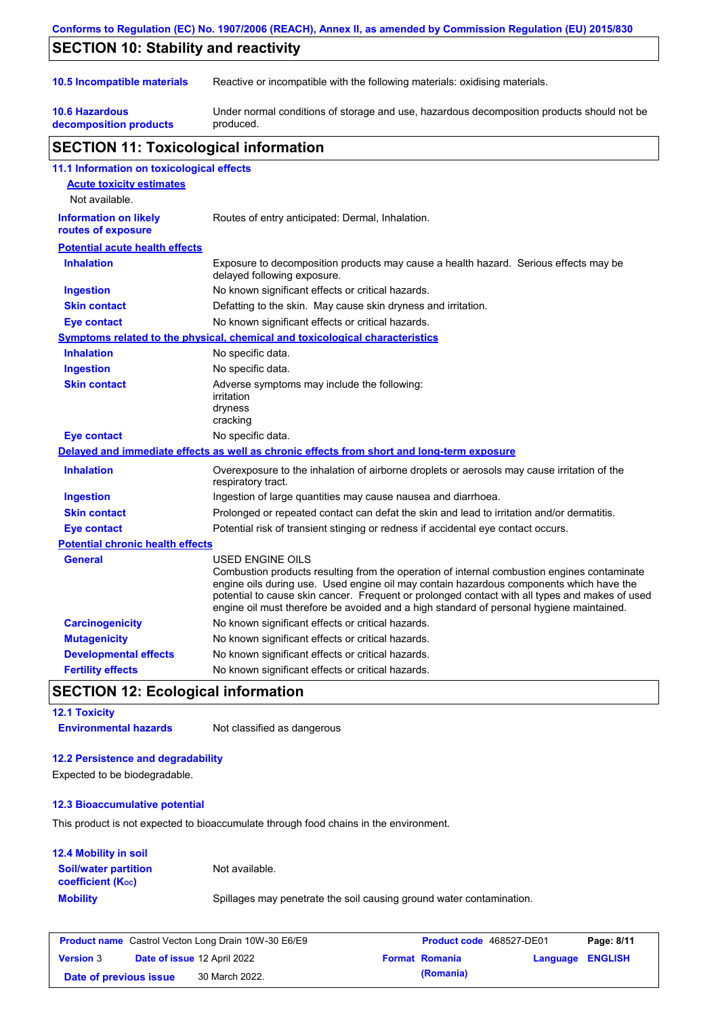|                                                    | Conforms to Regulation (EC) No. 1907/2006 (REACH), Annex II, as amended by Commission Regulation (EU) 2015/830                                                                                                                                                                                                                                                                                           |
|----------------------------------------------------|----------------------------------------------------------------------------------------------------------------------------------------------------------------------------------------------------------------------------------------------------------------------------------------------------------------------------------------------------------------------------------------------------------|
| <b>SECTION 10: Stability and reactivity</b>        |                                                                                                                                                                                                                                                                                                                                                                                                          |
| 10.5 Incompatible materials                        | Reactive or incompatible with the following materials: oxidising materials.                                                                                                                                                                                                                                                                                                                              |
| <b>10.6 Hazardous</b><br>decomposition products    | Under normal conditions of storage and use, hazardous decomposition products should not be<br>produced.                                                                                                                                                                                                                                                                                                  |
| <b>SECTION 11: Toxicological information</b>       |                                                                                                                                                                                                                                                                                                                                                                                                          |
| 11.1 Information on toxicological effects          |                                                                                                                                                                                                                                                                                                                                                                                                          |
| <b>Acute toxicity estimates</b><br>Not available.  |                                                                                                                                                                                                                                                                                                                                                                                                          |
| <b>Information on likely</b><br>routes of exposure | Routes of entry anticipated: Dermal, Inhalation.                                                                                                                                                                                                                                                                                                                                                         |
| <b>Potential acute health effects</b>              |                                                                                                                                                                                                                                                                                                                                                                                                          |
| <b>Inhalation</b>                                  | Exposure to decomposition products may cause a health hazard. Serious effects may be<br>delayed following exposure.                                                                                                                                                                                                                                                                                      |
| <b>Ingestion</b>                                   | No known significant effects or critical hazards.                                                                                                                                                                                                                                                                                                                                                        |
| <b>Skin contact</b>                                | Defatting to the skin. May cause skin dryness and irritation.                                                                                                                                                                                                                                                                                                                                            |
| <b>Eye contact</b>                                 | No known significant effects or critical hazards.                                                                                                                                                                                                                                                                                                                                                        |
|                                                    | <b>Symptoms related to the physical, chemical and toxicological characteristics</b>                                                                                                                                                                                                                                                                                                                      |
| <b>Inhalation</b>                                  | No specific data.                                                                                                                                                                                                                                                                                                                                                                                        |
| <b>Ingestion</b>                                   | No specific data.                                                                                                                                                                                                                                                                                                                                                                                        |
| <b>Skin contact</b>                                | Adverse symptoms may include the following:<br>irritation<br>dryness<br>cracking                                                                                                                                                                                                                                                                                                                         |
| <b>Eye contact</b>                                 | No specific data.                                                                                                                                                                                                                                                                                                                                                                                        |
|                                                    | Delayed and immediate effects as well as chronic effects from short and long-term exposure                                                                                                                                                                                                                                                                                                               |
| <b>Inhalation</b>                                  | Overexposure to the inhalation of airborne droplets or aerosols may cause irritation of the<br>respiratory tract.                                                                                                                                                                                                                                                                                        |
| <b>Ingestion</b>                                   | Ingestion of large quantities may cause nausea and diarrhoea.                                                                                                                                                                                                                                                                                                                                            |
| <b>Skin contact</b>                                | Prolonged or repeated contact can defat the skin and lead to irritation and/or dermatitis.                                                                                                                                                                                                                                                                                                               |
| <b>Eye contact</b>                                 | Potential risk of transient stinging or redness if accidental eye contact occurs.                                                                                                                                                                                                                                                                                                                        |
| <b>Potential chronic health effects</b>            |                                                                                                                                                                                                                                                                                                                                                                                                          |
| General                                            | USED ENGINE OILS<br>Combustion products resulting from the operation of internal combustion engines contaminate<br>engine oils during use. Used engine oil may contain hazardous components which have the<br>potential to cause skin cancer. Frequent or prolonged contact with all types and makes of used<br>engine oil must therefore be avoided and a high standard of personal hygiene maintained. |
| <b>Carcinogenicity</b>                             | No known significant effects or critical hazards.                                                                                                                                                                                                                                                                                                                                                        |
| <b>Mutagenicity</b>                                | No known significant effects or critical hazards.                                                                                                                                                                                                                                                                                                                                                        |
| <b>Developmental effects</b>                       | No known significant effects or critical hazards.                                                                                                                                                                                                                                                                                                                                                        |
| <b>Fertility effects</b>                           | No known significant effects or critical hazards.                                                                                                                                                                                                                                                                                                                                                        |

### **SECTION 12: Ecological information**

**12.1 Toxicity Environmental hazards** Not classified as dangerous

### **12.2 Persistence and degradability**

Expected to be biodegradable.

### **12.3 Bioaccumulative potential**

This product is not expected to bioaccumulate through food chains in the environment.

### **12.4 Mobility in soil**

| A.T MUUNINIY IN JUN                                     |                                                                      |
|---------------------------------------------------------|----------------------------------------------------------------------|
| <b>Soil/water partition</b><br><b>coefficient (Koc)</b> | Not available.                                                       |
| <b>Mobility</b>                                         | Spillages may penetrate the soil causing ground water contamination. |

|                        | <b>Product name</b> Castrol Vecton Long Drain 10W-30 E6/E9 | <b>Product code</b> 468527-DE01 |                         | Page: 8/11 |
|------------------------|------------------------------------------------------------|---------------------------------|-------------------------|------------|
| <b>Version 3</b>       | <b>Date of issue 12 April 2022</b>                         | <b>Format Romania</b>           | <b>Language ENGLISH</b> |            |
| Date of previous issue | 30 March 2022.                                             | (Romania)                       |                         |            |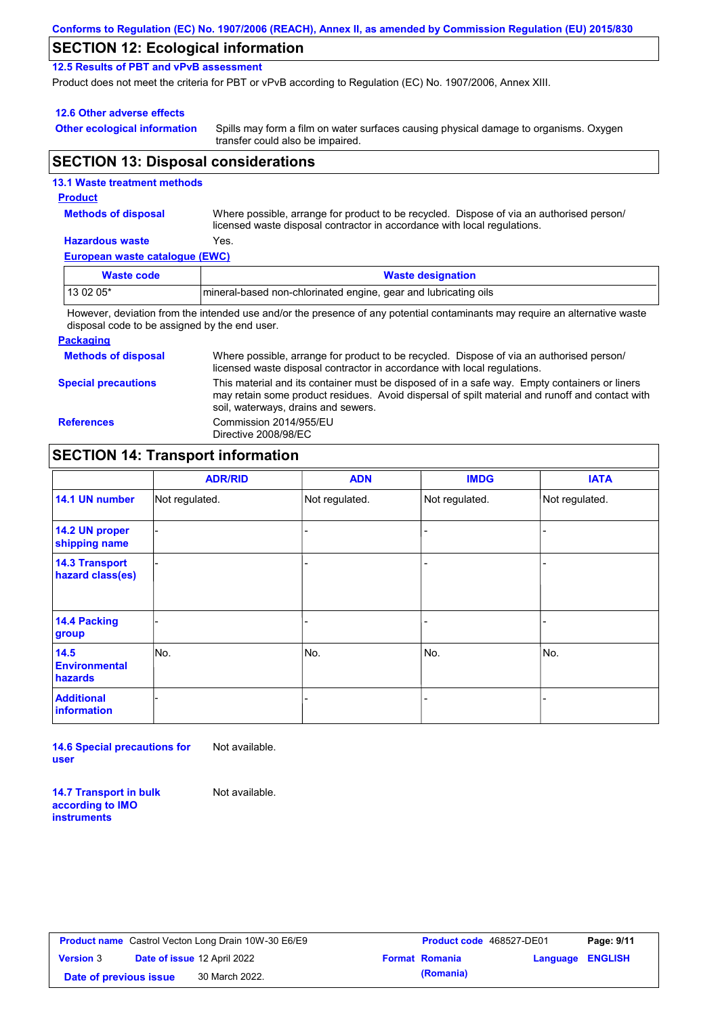| Conforms to Regulation (EC) No. 1907/2006 (REACH), Annex II, as amended by Commission Regulation (EU) 2015/830 |  |
|----------------------------------------------------------------------------------------------------------------|--|
|----------------------------------------------------------------------------------------------------------------|--|

### **SECTION 12: Ecological information**

**12.5 Results of PBT and vPvB assessment**

Product does not meet the criteria for PBT or vPvB according to Regulation (EC) No. 1907/2006, Annex XIII.

#### **12.6 Other adverse effects**

**Other ecological information**

Spills may form a film on water surfaces causing physical damage to organisms. Oxygen transfer could also be impaired.

### **SECTION 13: Disposal considerations**

### **European waste catalogue (EWC) Hazardous waste** Yes. Where possible, arrange for product to be recycled. Dispose of via an authorised person/ licensed waste disposal contractor in accordance with local regulations. **Methods of disposal 13.1 Waste treatment methods Product Waste code Waste designation** 13 02 05\* mineral-based non-chlorinated engine, gear and lubricating oils

However, deviation from the intended use and/or the presence of any potential contaminants may require an alternative waste disposal code to be assigned by the end user.

#### **Packaging**

| <b>Methods of disposal</b> | Where possible, arrange for product to be recycled. Dispose of via an authorised person/<br>licensed waste disposal contractor in accordance with local regulations.                                                                    |
|----------------------------|-----------------------------------------------------------------------------------------------------------------------------------------------------------------------------------------------------------------------------------------|
| <b>Special precautions</b> | This material and its container must be disposed of in a safe way. Empty containers or liners<br>may retain some product residues. Avoid dispersal of spilt material and runoff and contact with<br>soil, waterways, drains and sewers. |
| <b>References</b>          | Commission 2014/955/EU<br>Directive 2008/98/EC                                                                                                                                                                                          |

# **SECTION 14: Transport information**

|                                           | <b>ADR/RID</b> | <b>ADN</b>     | <b>IMDG</b>    | <b>IATA</b>    |
|-------------------------------------------|----------------|----------------|----------------|----------------|
| 14.1 UN number                            | Not regulated. | Not regulated. | Not regulated. | Not regulated. |
| 14.2 UN proper<br>shipping name           |                |                |                |                |
| <b>14.3 Transport</b><br>hazard class(es) |                |                |                |                |
| 14.4 Packing<br>group                     |                |                |                |                |
| 14.5<br><b>Environmental</b><br>hazards   | No.            | No.            | No.            | No.            |
| <b>Additional</b><br>information          |                |                |                |                |

**14.6 Special precautions for user** Not available.

**14.7 Transport in bulk according to IMO** 

**instruments**

Not available.

**Product name** Castrol Vecton Long Drain 10W-30 E6/E9 **Product code** 468527-DE01 **Page: 9/11 Version** 3 **Date of issue** 12 April 2022 **Date of previous issue** 30 March 2022.

| Product code 468527-DE01 |                  | Page: 9/11 |
|--------------------------|------------------|------------|
| <b>Format Romania</b>    | Language ENGLISH |            |
| (Romania)                |                  |            |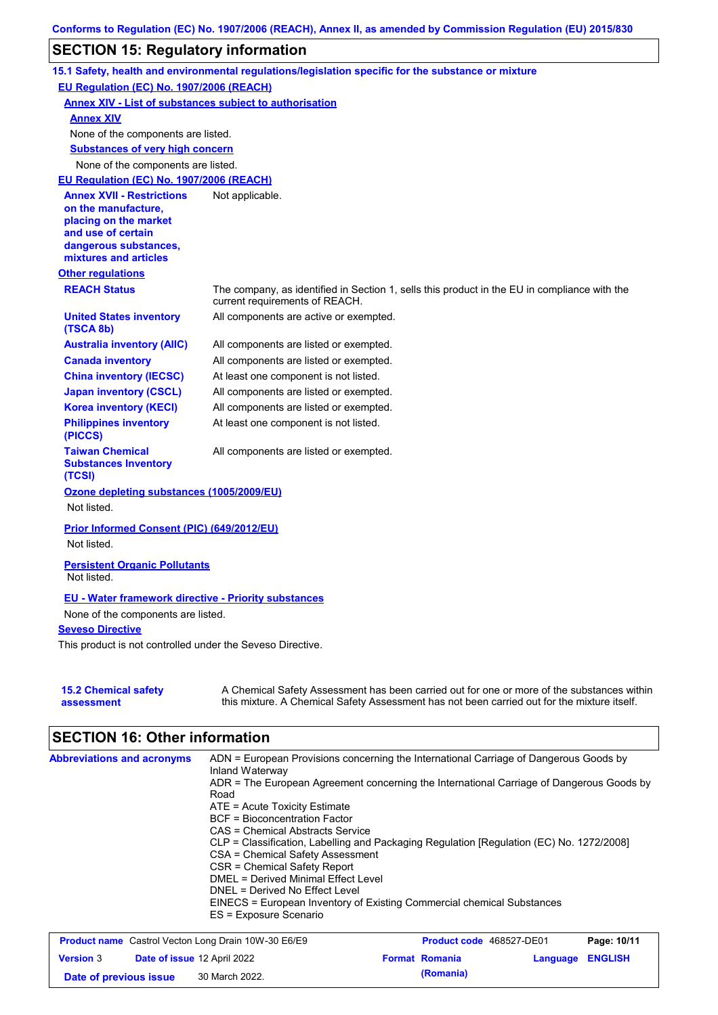### **SECTION 15: Regulatory information**

|                                                                                                                                                          | 15.1 Safety, health and environmental regulations/legislation specific for the substance or mixture                                                                                       |
|----------------------------------------------------------------------------------------------------------------------------------------------------------|-------------------------------------------------------------------------------------------------------------------------------------------------------------------------------------------|
| EU Regulation (EC) No. 1907/2006 (REACH)                                                                                                                 |                                                                                                                                                                                           |
|                                                                                                                                                          | <b>Annex XIV - List of substances subject to authorisation</b>                                                                                                                            |
| <b>Annex XIV</b>                                                                                                                                         |                                                                                                                                                                                           |
| None of the components are listed.                                                                                                                       |                                                                                                                                                                                           |
| <b>Substances of very high concern</b>                                                                                                                   |                                                                                                                                                                                           |
| None of the components are listed.                                                                                                                       |                                                                                                                                                                                           |
| EU Requlation (EC) No. 1907/2006 (REACH)                                                                                                                 |                                                                                                                                                                                           |
| <b>Annex XVII - Restrictions</b><br>on the manufacture,<br>placing on the market<br>and use of certain<br>dangerous substances,<br>mixtures and articles | Not applicable.                                                                                                                                                                           |
| <b>Other regulations</b>                                                                                                                                 |                                                                                                                                                                                           |
| <b>REACH Status</b>                                                                                                                                      | The company, as identified in Section 1, sells this product in the EU in compliance with the<br>current requirements of REACH.                                                            |
| <b>United States inventory</b><br>(TSCA 8b)                                                                                                              | All components are active or exempted.                                                                                                                                                    |
| <b>Australia inventory (AIIC)</b>                                                                                                                        | All components are listed or exempted.                                                                                                                                                    |
| <b>Canada inventory</b>                                                                                                                                  | All components are listed or exempted.                                                                                                                                                    |
| <b>China inventory (IECSC)</b>                                                                                                                           | At least one component is not listed.                                                                                                                                                     |
| <b>Japan inventory (CSCL)</b>                                                                                                                            | All components are listed or exempted.                                                                                                                                                    |
| <b>Korea inventory (KECI)</b>                                                                                                                            | All components are listed or exempted.                                                                                                                                                    |
| <b>Philippines inventory</b><br>(PICCS)                                                                                                                  | At least one component is not listed.                                                                                                                                                     |
| <b>Taiwan Chemical</b><br><b>Substances Inventory</b><br>(TCSI)                                                                                          | All components are listed or exempted.                                                                                                                                                    |
| Ozone depleting substances (1005/2009/EU)<br>Not listed.                                                                                                 |                                                                                                                                                                                           |
| Prior Informed Consent (PIC) (649/2012/EU)<br>Not listed.                                                                                                |                                                                                                                                                                                           |
| <b>Persistent Organic Pollutants</b><br>Not listed.                                                                                                      |                                                                                                                                                                                           |
| <b>EU - Water framework directive - Priority substances</b>                                                                                              |                                                                                                                                                                                           |
| None of the components are listed.                                                                                                                       |                                                                                                                                                                                           |
| <b>Seveso Directive</b>                                                                                                                                  |                                                                                                                                                                                           |
| This product is not controlled under the Seveso Directive.                                                                                               |                                                                                                                                                                                           |
| <b>15.2 Chemical safety</b><br>assessment                                                                                                                | A Chemical Safety Assessment has been carried out for one or more of the substances within<br>this mixture. A Chemical Safety Assessment has not been carried out for the mixture itself. |

# **SECTION 16: Other information**

| <b>Abbreviations and acronyms</b> | ADN = European Provisions concerning the International Carriage of Dangerous Goods by<br>Inland Waterway |  |  |  |
|-----------------------------------|----------------------------------------------------------------------------------------------------------|--|--|--|
|                                   | ADR = The European Agreement concerning the International Carriage of Dangerous Goods by                 |  |  |  |
|                                   | Road                                                                                                     |  |  |  |
|                                   | $ATE =$ Acute Toxicity Estimate                                                                          |  |  |  |
|                                   | <b>BCF</b> = Bioconcentration Factor                                                                     |  |  |  |
|                                   | CAS = Chemical Abstracts Service                                                                         |  |  |  |
|                                   | CLP = Classification, Labelling and Packaging Regulation [Regulation (EC) No. 1272/2008]                 |  |  |  |
|                                   | CSA = Chemical Safety Assessment                                                                         |  |  |  |
|                                   | CSR = Chemical Safety Report                                                                             |  |  |  |
|                                   | <b>DMEL = Derived Minimal Effect Level</b>                                                               |  |  |  |
|                                   | DNEL = Derived No Effect Level                                                                           |  |  |  |
|                                   | EINECS = European Inventory of Existing Commercial chemical Substances                                   |  |  |  |
|                                   | ES = Exposure Scenario                                                                                   |  |  |  |
|                                   |                                                                                                          |  |  |  |

| <b>Product name</b> Castrol Vecton Long Drain 10W-30 E6/E9 |  |                             | <b>Product code</b> 468527-DE01 | Page: 10/11           |          |                |
|------------------------------------------------------------|--|-----------------------------|---------------------------------|-----------------------|----------|----------------|
| <b>Version 3</b>                                           |  | Date of issue 12 April 2022 |                                 | <b>Format Romania</b> | Language | <b>ENGLISH</b> |
| Date of previous issue                                     |  | 30 March 2022.              |                                 | (Romania)             |          |                |